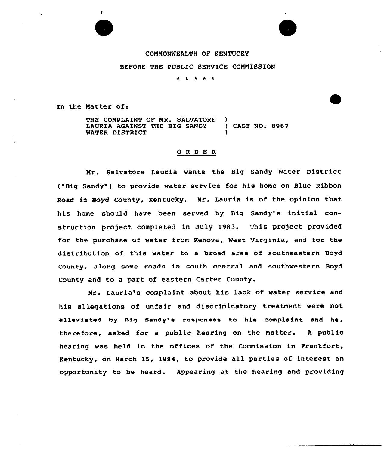# CONNONWEALTH OF KENTUCKY

## BEFORE THE PUBLIC SERVICE CONNISSION

\* \* \*

In the Natter of:

THE COMPLAINT OF MR. SALVATORE LAURIA AGAINST THE BIG SANDY ) CASE NO. 8987 WATER DISTRICT

### ORDER

Nr. Salvatore Lauria wants the Big Sandy Water District ( Big Sandy ) to provide water service for his home on Blue Ribbon Road in Boyd County, Kentucky. Nr. Lauria is of the opinion that his home should have been served by Big Sandy's initial construction project completed in July 1983. This project provided for the purchase of water from Kenova, West Virginia, and for the distribution of this water to a broad area of southeastern Boyd County, along some roads in south central and southwestern Boyd County and to a part of eastern Carter County.

Nr. Lauria's complaint about his lack of water service and his allegations of unfair and discriminatory treatment were not alleviated by nig Sandy'a responses to hie complaint and he, therefore, asked for a public hearing on the matter. <sup>A</sup> public hearing was held in the offices of the Commission in Frankfort, Kentucky, on March 15, 1984, to provide all parties of interest an opportunity to be heard. Appearing at the hearing and providing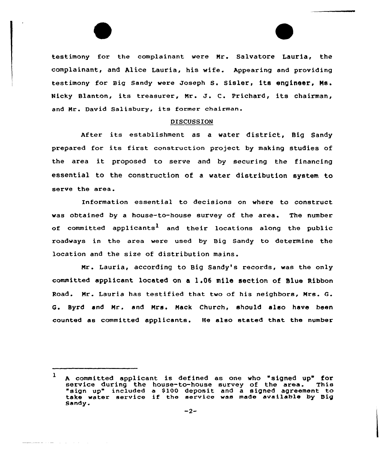testimony for the complainant were Mr. Salvatore Lauria, the complainant, and Alice Lauria, his wife. Appearing and providing testimony for Big Sandy were Joseph S. Sisler, its engineer, Ms. Nicky Blanton, its treasurer, Mr. J. C. Prichard, its chairman, and Mr. David Salisbury, its former chairman.

### DISCUSSION

After its establishment as <sup>a</sup> water district, Big Sandy prepared for its first construction project by making studies of the area it proposed to serve and by securing the financing essential to the construction of a water distribution system to serve the area.

Information essential to decisions on where to construct was obtained by a house-to-house survey of the area. The number of committed applicants<sup>1</sup> and their locations along the public roadways in the area were used by Big Sandy to determine the location and the size of distribution mains.

Mr. Lauria, according to Big Sandy's records, was the only committed applicant located on a 1.06 mile section of Blue Ribbon Road. Mr. Lauria has testified that two of his neighbors, Mrs. Q. Q. Byrd and Mr. and Mrs. Mack Church, should also have been counted as committed applicants. He also stated that the number

المستحدث والمستحدث والمستحققة

 $\mathbf{1}$ A committed applicant is defined as one who "signed up" for<br>service during the house-to-house survey of the area. This<br>"sign up" included a \$100 deposit and a signed agreement to sign up" included a \$100 deposit and a signed agreement to<br>take water service if the service was made available by Big Sandy.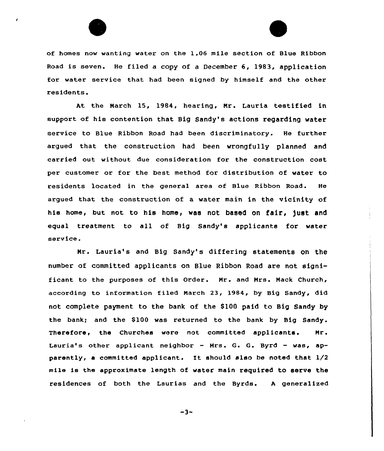



of homes now wanting water on the 1.06 mile section of Blue Ribbon Road is seven. He filed a copy of a December 6, 1983, application for water service that had been signed by himself and the other residents.

At the March 15, 1984, hearing, Nr. Lauria testified in support of his contention that Big Sandy's actions regarding water service to Blue Ribbon Road had been discriminatory. He further argued that the construction had been wrongfully planned and carried out without due consideration for the construction cost per customer or for the best method for distribution of water to residents located in the general area of Blue Ribbon Road. He argued that the construction of a water main in the vicinity of his home, but not to his home, was not based on fair, just and equal treatment to all of Big Sandy's applicants for water service.

Mr. Lauria's and Big Sandy's differing statements on the number of committed applicants on Blue Ribbon Road are not significant to the purposes of this Order. Nr. and Nrs. Nack Church, according to information filed March 23, 1984, by Big Sandy, did not complete payment to the bank of the \$ 100 paid to Big Sandy by the bank; and the \$100 was returned to the bank by Big Sandy. Therefore, the Churches were not committed applicants. Nr. Lauria's other applicant neighbor — Nrs. G. G. Byrd — was, apparently, a committed applicant. It should also be noted that  $1/2$ mile is the approximate length of water main required to serve the residences of both the Laurias and the Byrds. <sup>A</sup> generalized

 $-3-$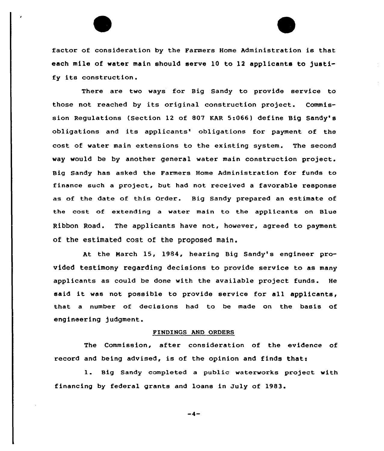factor of consideration by the Farmers Home Administration is that each mile of water main should serve 10 to 12 applicants to justify its construction.

There are two ways for Big Sandy to provide service to those not reached by its original construction project. Commission Regulations (Section 12 of 807 KAR 5:066) define Big Sandy's obligations and its applicants' obligations for payment of the cost of water main extensions to the existing system. The second way would be by another general water main construction project. Big Sandy has asked the Farmers Home Administration for funds to finance such a project, but had not received a favorable response as of the date of this Order. Big Sandy prepared an estimate of the cost of extending a water main to the applicants on Blue Ribbon Road. The applicants have not, however, agreed to payment of the estimated cost of the proposed main.

At the March 15, 1984, hearing Big Sandy's engineer provided testimony regarding decisions to provide service to as many applicants as could be done with the available project funds. He said it was not possible to provide service for all applicants, that a number of decisions had to be made on the basis of engineering judgment.

#### FINDINGS AND ORDERS

The Commission, after consideration of the evidence of record and being advised, is of the opinion and finds thats

l. Big Sandy completed <sup>a</sup> public waterworks project with financing by federal grants and loans in July of 1983'

 $-4-$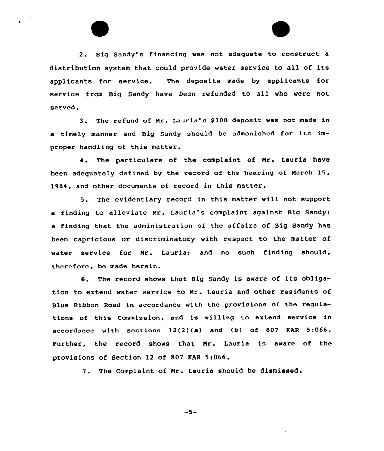2. Big Sandy's financing was not adequate to construct a distribution system that could provide water service to all of its applicants for service. The deposits made by applicants for service from Big Sandy have been refunded to all who were not served.

3. The refund of Mr. Lauria's \$ 100 deposit was not made in <sup>a</sup> timely manner and Big Sandy should be admonished for its improper handling of this matter.

4. The particulars of the complaint of Nr. Lauria have been adequately defined by the record of the hearing of March 15, 1984, and other documents of record in this matter.

5. The evidentiary record in this matter will not support a finding to alleviate Mr. Lauria's complaint against Big Sandy: a finding that the administration of the affairs of Big Sandy has been capricious or discriminatory with respect to the matter of water service for Nr. Lauria; and no such finding should, therefore, be made herein.

6. The record shows that Big Sandy is aware of its obligation to extend water service to Nr. Lauria and other residents of Blue Ribbon Road in accordance with the provisions of the regulations of this Commission, and is willing to extend service in accordance with Sections 12(2)(a) and (b) of 807 EAR 5:066. Further, the record shows that Nr. Lauria is aware of the provisions of Section 12 of 807 KAR 5:066.

7. The Complaint of Nr. Lauria should be dismissed.

 $-5-$